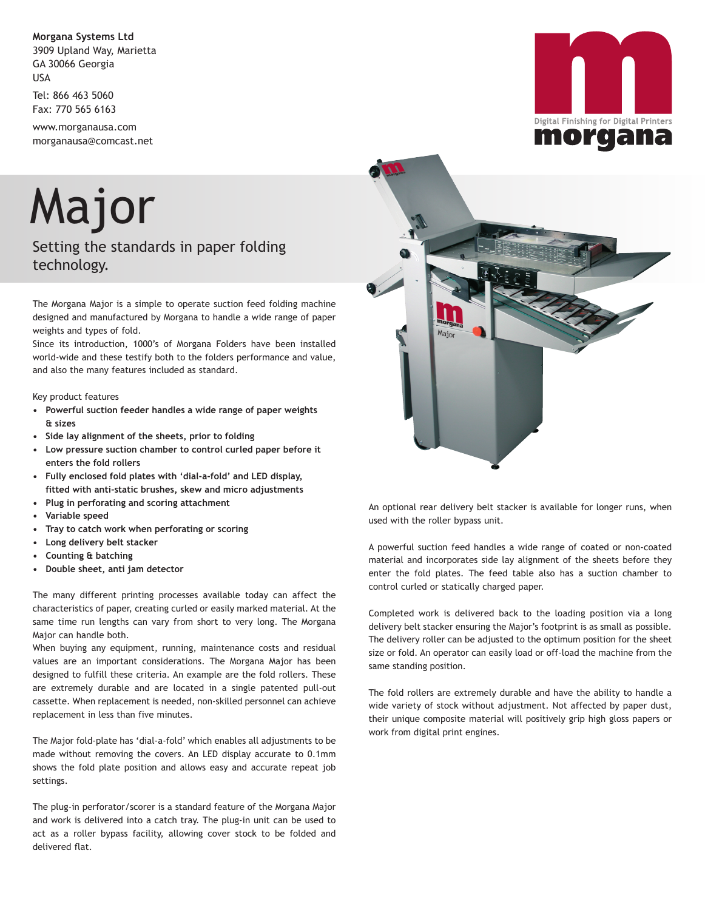**Morgana Systems Ltd** 3909 Upland Way, Marietta GA 30066 Georgia USA

Tel: 866 463 5060 Fax: 770 565 6163

www.morganausa.com morganausa@comcast.net

Major

## Setting the standards in paper folding technology.

The Morgana Major is a simple to operate suction feed folding machine designed and manufactured by Morgana to handle a wide range of paper weights and types of fold.

Since its introduction, 1000's of Morgana Folders have been installed world-wide and these testify both to the folders performance and value, and also the many features included as standard.

Key product features

- **Powerful suction feeder handles a wide range of paper weights & sizes**
- **Side lay alignment of the sheets, prior to folding**
- **Low pressure suction chamber to control curled paper before it enters the fold rollers**
- **Fully enclosed fold plates with 'dial-a-fold' and LED display, fitted with anti-static brushes, skew and micro adjustments**
- **Plug in perforating and scoring attachment**
- **Variable speed**
- **Tray to catch work when perforating or scoring**
- **Long delivery belt stacker**
- **Counting & batching**
- **Double sheet, anti jam detector**

The many different printing processes available today can affect the characteristics of paper, creating curled or easily marked material. At the same time run lengths can vary from short to very long. The Morgana Major can handle both.

When buying any equipment, running, maintenance costs and residual values are an important considerations. The Morgana Major has been designed to fulfill these criteria. An example are the fold rollers. These are extremely durable and are located in a single patented pull-out cassette. When replacement is needed, non-skilled personnel can achieve replacement in less than five minutes.

The Major fold-plate has 'dial-a-fold' which enables all adjustments to be made without removing the covers. An LED display accurate to 0.1mm shows the fold plate position and allows easy and accurate repeat job settings.

The plug-in perforator/scorer is a standard feature of the Morgana Major and work is delivered into a catch tray. The plug-in unit can be used to act as a roller bypass facility, allowing cover stock to be folded and delivered flat.





An optional rear delivery belt stacker is available for longer runs, when used with the roller bypass unit.

A powerful suction feed handles a wide range of coated or non-coated material and incorporates side lay alignment of the sheets before they enter the fold plates. The feed table also has a suction chamber to control curled or statically charged paper.

Completed work is delivered back to the loading position via a long delivery belt stacker ensuring the Major's footprint is as small as possible. The delivery roller can be adjusted to the optimum position for the sheet size or fold. An operator can easily load or off-load the machine from the same standing position.

The fold rollers are extremely durable and have the ability to handle a wide variety of stock without adjustment. Not affected by paper dust, their unique composite material will positively grip high gloss papers or work from digital print engines.